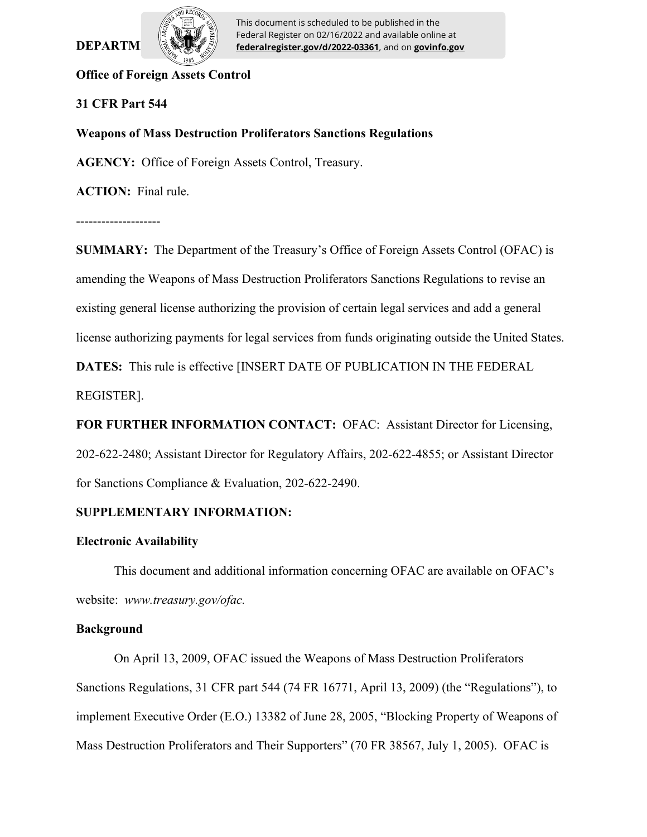# **DEPARTM**



This document is scheduled to be published in the Federal Register on 02/16/2022 and available online at **federalregister.gov/d/2022-03361**, and on **govinfo.gov**

# **Office of Foreign Assets Control**

# **31 CFR Part 544**

# **Weapons of Mass Destruction Proliferators Sanctions Regulations**

**AGENCY:** Office of Foreign Assets Control, Treasury.

**ACTION:** Final rule.

--------------------

**SUMMARY:** The Department of the Treasury's Office of Foreign Assets Control (OFAC) is amending the Weapons of Mass Destruction Proliferators Sanctions Regulations to revise an existing general license authorizing the provision of certain legal services and add a general license authorizing payments for legal services from funds originating outside the United States.

**DATES:** This rule is effective [INSERT DATE OF PUBLICATION IN THE FEDERAL REGISTER].

**FOR FURTHER INFORMATION CONTACT:** OFAC: Assistant Director for Licensing, 202-622-2480; Assistant Director for Regulatory Affairs, 202-622-4855; or Assistant Director for Sanctions Compliance & Evaluation, 202-622-2490.

# **SUPPLEMENTARY INFORMATION:**

# **Electronic Availability**

This document and additional information concerning OFAC are available on OFAC's website: *www.treasury.gov/ofac.*

# **Background**

On April 13, 2009, OFAC issued the Weapons of Mass Destruction Proliferators Sanctions Regulations, 31 CFR part 544 (74 FR 16771, April 13, 2009) (the "Regulations"), to implement Executive Order (E.O.) 13382 of June 28, 2005, "Blocking Property of Weapons of Mass Destruction Proliferators and Their Supporters" (70 FR 38567, July 1, 2005). OFAC is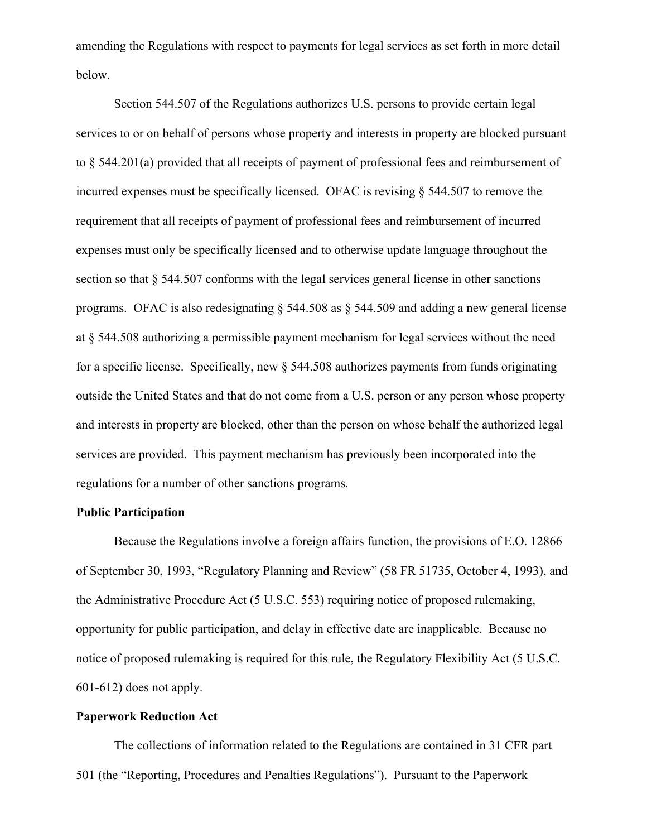amending the Regulations with respect to payments for legal services as set forth in more detail below.

Section 544.507 of the Regulations authorizes U.S. persons to provide certain legal services to or on behalf of persons whose property and interests in property are blocked pursuant to § 544.201(a) provided that all receipts of payment of professional fees and reimbursement of incurred expenses must be specifically licensed. OFAC is revising § 544.507 to remove the requirement that all receipts of payment of professional fees and reimbursement of incurred expenses must only be specifically licensed and to otherwise update language throughout the section so that § 544.507 conforms with the legal services general license in other sanctions programs. OFAC is also redesignating § 544.508 as § 544.509 and adding a new general license at § 544.508 authorizing a permissible payment mechanism for legal services without the need for a specific license. Specifically, new  $\S$  544.508 authorizes payments from funds originating outside the United States and that do not come from a U.S. person or any person whose property and interests in property are blocked, other than the person on whose behalf the authorized legal services are provided. This payment mechanism has previously been incorporated into the regulations for a number of other sanctions programs.

#### **Public Participation**

Because the Regulations involve a foreign affairs function, the provisions of E.O. 12866 of September 30, 1993, "Regulatory Planning and Review" (58 FR 51735, October 4, 1993), and the Administrative Procedure Act (5 U.S.C. 553) requiring notice of proposed rulemaking, opportunity for public participation, and delay in effective date are inapplicable. Because no notice of proposed rulemaking is required for this rule, the Regulatory Flexibility Act (5 U.S.C. 601-612) does not apply.

#### **Paperwork Reduction Act**

The collections of information related to the Regulations are contained in 31 CFR part 501 (the "Reporting, Procedures and Penalties Regulations"). Pursuant to the Paperwork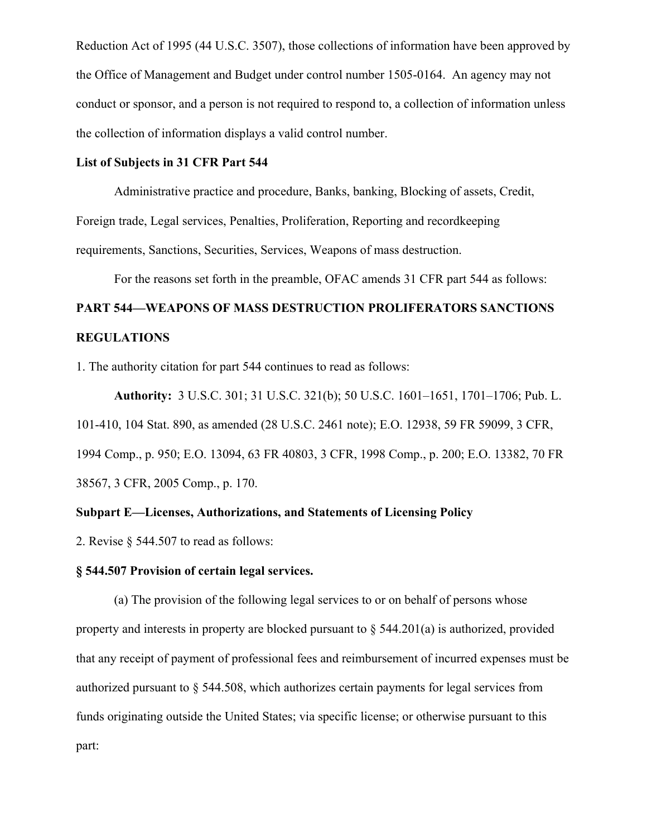Reduction Act of 1995 (44 U.S.C. 3507), those collections of information have been approved by the Office of Management and Budget under control number 1505-0164. An agency may not conduct or sponsor, and a person is not required to respond to, a collection of information unless the collection of information displays a valid control number.

#### **List of Subjects in 31 CFR Part 544**

Administrative practice and procedure, Banks, banking, Blocking of assets, Credit, Foreign trade, Legal services, Penalties, Proliferation, Reporting and recordkeeping requirements, Sanctions, Securities, Services, Weapons of mass destruction.

For the reasons set forth in the preamble, OFAC amends 31 CFR part 544 as follows:

# **PART 544—WEAPONS OF MASS DESTRUCTION PROLIFERATORS SANCTIONS REGULATIONS**

1. The authority citation for part 544 continues to read as follows:

**Authority:** 3 U.S.C. 301; 31 U.S.C. 321(b); 50 U.S.C. 1601–1651, 1701–1706; Pub. L. 101-410, 104 Stat. 890, as amended (28 U.S.C. 2461 note); E.O. 12938, 59 FR 59099, 3 CFR, 1994 Comp., p. 950; E.O. 13094, 63 FR 40803, 3 CFR, 1998 Comp., p. 200; E.O. 13382, 70 FR 38567, 3 CFR, 2005 Comp., p. 170.

# **Subpart E—Licenses, Authorizations, and Statements of Licensing Policy**

2. Revise § 544.507 to read as follows:

# **§ 544.507 Provision of certain legal services.**

(a) The provision of the following legal services to or on behalf of persons whose property and interests in property are blocked pursuant to  $\S$  544.201(a) is authorized, provided that any receipt of payment of professional fees and reimbursement of incurred expenses must be authorized pursuant to § 544.508, which authorizes certain payments for legal services from funds originating outside the United States; via specific license; or otherwise pursuant to this part: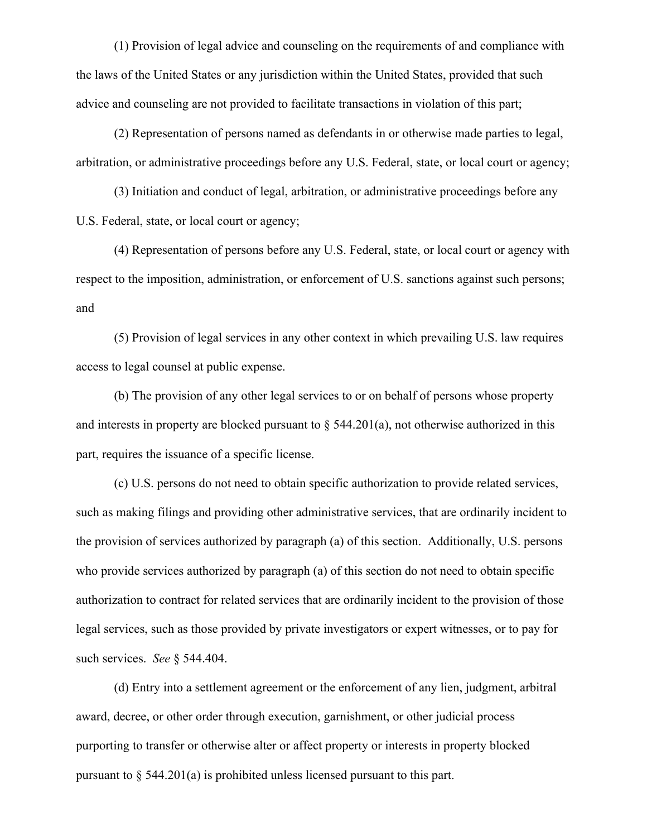(1) Provision of legal advice and counseling on the requirements of and compliance with the laws of the United States or any jurisdiction within the United States, provided that such advice and counseling are not provided to facilitate transactions in violation of this part;

(2) Representation of persons named as defendants in or otherwise made parties to legal, arbitration, or administrative proceedings before any U.S. Federal, state, or local court or agency;

(3) Initiation and conduct of legal, arbitration, or administrative proceedings before any U.S. Federal, state, or local court or agency;

(4) Representation of persons before any U.S. Federal, state, or local court or agency with respect to the imposition, administration, or enforcement of U.S. sanctions against such persons; and

(5) Provision of legal services in any other context in which prevailing U.S. law requires access to legal counsel at public expense.

(b) The provision of any other legal services to or on behalf of persons whose property and interests in property are blocked pursuant to  $\S$  544.201(a), not otherwise authorized in this part, requires the issuance of a specific license.

(c) U.S. persons do not need to obtain specific authorization to provide related services, such as making filings and providing other administrative services, that are ordinarily incident to the provision of services authorized by paragraph (a) of this section. Additionally, U.S. persons who provide services authorized by paragraph (a) of this section do not need to obtain specific authorization to contract for related services that are ordinarily incident to the provision of those legal services, such as those provided by private investigators or expert witnesses, or to pay for such services. *See* § 544.404.

(d) Entry into a settlement agreement or the enforcement of any lien, judgment, arbitral award, decree, or other order through execution, garnishment, or other judicial process purporting to transfer or otherwise alter or affect property or interests in property blocked pursuant to § 544.201(a) is prohibited unless licensed pursuant to this part.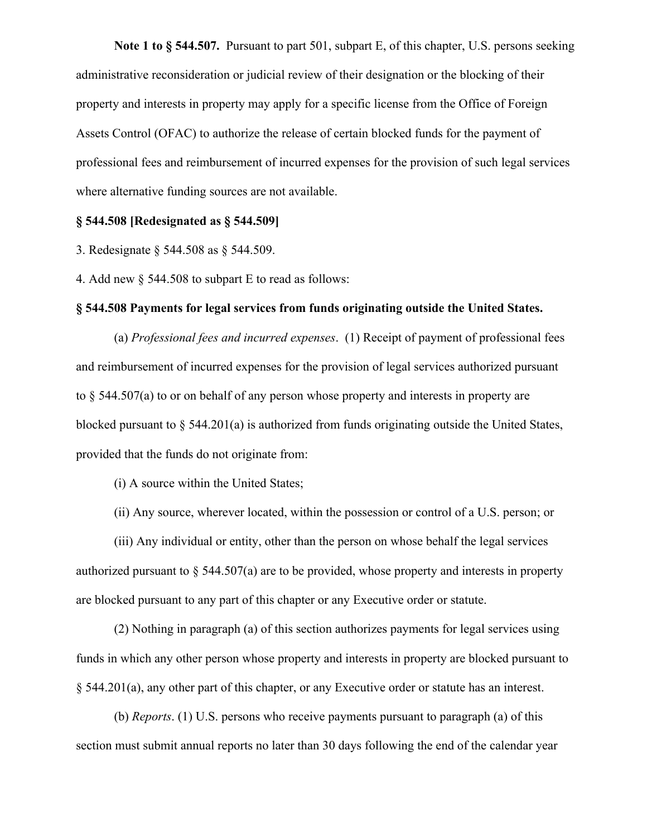**Note 1 to § 544.507.** Pursuant to part 501, subpart E, of this chapter, U.S. persons seeking administrative reconsideration or judicial review of their designation or the blocking of their property and interests in property may apply for a specific license from the Office of Foreign Assets Control (OFAC) to authorize the release of certain blocked funds for the payment of professional fees and reimbursement of incurred expenses for the provision of such legal services where alternative funding sources are not available.

#### **§ 544.508 [Redesignated as § 544.509]**

3. Redesignate § 544.508 as § 544.509.

4. Add new § 544.508 to subpart E to read as follows:

#### **§ 544.508 Payments for legal services from funds originating outside the United States.**

(a) *Professional fees and incurred expenses*. (1) Receipt of payment of professional fees and reimbursement of incurred expenses for the provision of legal services authorized pursuant to § 544.507(a) to or on behalf of any person whose property and interests in property are blocked pursuant to § 544.201(a) is authorized from funds originating outside the United States, provided that the funds do not originate from:

(i) A source within the United States;

(ii) Any source, wherever located, within the possession or control of a U.S. person; or

(iii) Any individual or entity, other than the person on whose behalf the legal services authorized pursuant to  $\S$  544.507(a) are to be provided, whose property and interests in property are blocked pursuant to any part of this chapter or any Executive order or statute.

(2) Nothing in paragraph (a) of this section authorizes payments for legal services using funds in which any other person whose property and interests in property are blocked pursuant to § 544.201(a), any other part of this chapter, or any Executive order or statute has an interest.

(b) *Reports*. (1) U.S. persons who receive payments pursuant to paragraph (a) of this section must submit annual reports no later than 30 days following the end of the calendar year